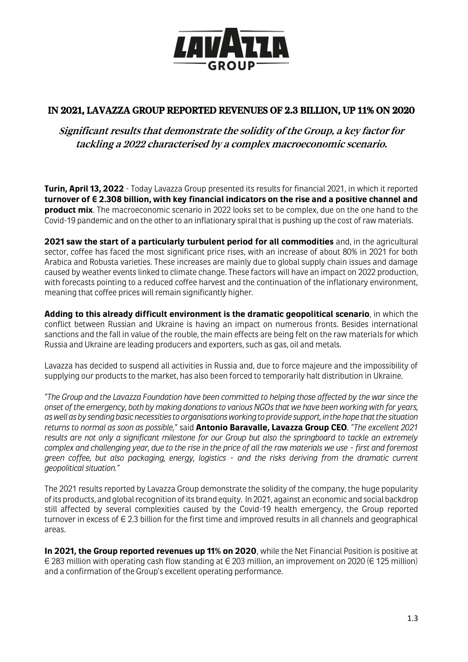

## IN 2021, LAVAZZA GROUP REPORTED REVENUES OF 2.3 BILLION, UP 11% ON 2020

## Significant results that demonstrate the solidity of the Group, a key factor for tackling <sup>a</sup> <sup>2022</sup> characterised by <sup>a</sup> complex macroeconomic scenario.

**Turin, April 13, 2022** - Today Lavazza Group presented its results for financial 2021, in which it reported **turnover of € 2.308 billion, with key financial indicators on the rise and a positive channel and product mix**. The macroeconomic scenario in 2022 looks set to be complex, due on the one hand to the Covid-19 pandemic and on the other to an inflationary spiral that is pushing up the cost of raw materials.

**2021 saw the start of a particularly turbulent period for all commodities** and, in the agricultural sector, coffee has faced the most significant price rises, with an increase of about 80% in 2021 for both Arabica and Robusta varieties. These increases are mainly due to global supply chain issues and damage caused by weather events linked to climate change. These factors will have an impact on 2022 production, with forecasts pointing to a reduced coffee harvest and the continuation of the inflationary environment, meaning that coffee prices will remain significantly higher.

**Adding to this already difficult environment is the dramatic geopolitical scenario**, in which the conflict between Russian and Ukraine is having an impact on numerous fronts. Besides international sanctions and the fall in value of the rouble, the main effects are being felt on the raw materials for which Russia and Ukraine are leading producers and exporters, such as gas, oil and metals.

Lavazza has decided to suspend all activities in Russia and, due to force majeure and the impossibility of supplying our products to the market, has also been forced to temporarily halt distribution in Ukraine.

*"The Group and the Lavazza Foundation have been committed to helping those affected by the war since the onset of the emergency, both by making donations to various NGOs that we have been working with for years, as well as by sending basic necessities to organisations working to provide support, in the hope that the situation returns to normal as soon as possible,"* said **Antonio Baravalle, Lavazza Group CEO**. *"The excellent 2021 results are not only a significant milestone for our Group but also the springboard to tackle an extremely complex and challenging year, due to the rise in the price of all the raw materials we use - first and foremost green coffee, but also packaging, energy, logistics - and the risks deriving from the dramatic current geopolitical situation."*

The 2021 results reported by Lavazza Group demonstrate the solidity of the company, the huge popularity of its products, and global recognition of its brand equity. In 2021, against an economic and social backdrop still affected by several complexities caused by the Covid-19 health emergency, the Group reported turnover in excess of  $\in$  2.3 billion for the first time and improved results in all channels and geographical areas.

**In 2021, the Group reported revenues up 11% on 2020**, while the Net Financial Position is positive at  $€$  283 million with operating cash flow standing at  $€$  203 million, an improvement on 2020 (€ 125 million) and a confirmation of the Group's excellent operating performance.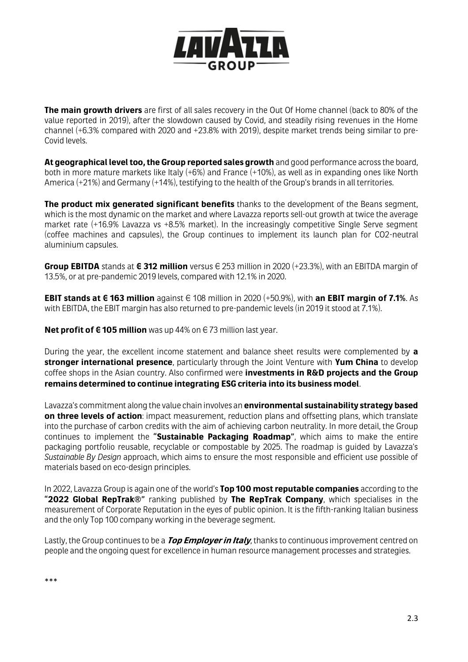

**The main growth drivers** are first of all sales recovery in the Out Of Home channel (back to 80% of the value reported in 2019), after the slowdown caused by Covid, and steadily rising revenues in the Home channel (+6.3% compared with 2020 and +23.8% with 2019), despite market trends being similar to pre-Covid levels.

**At geographical level too, the Group reported sales growth** and good performance across the board, both in more mature markets like Italy (+6%) and France (+10%), as well as in expanding ones like North America (+21%) and Germany (+14%), testifying to the health of the Group's brands in all territories.

**The product mix generated significant benefits** thanks to the development of the Beans segment, which is the most dynamic on the market and where Lavazza reports sell-out growth at twice the average market rate (+16.9% Lavazza vs +8.5% market). In the increasingly competitive Single Serve segment (coffee machines and capsules), the Group continues to implement its launch plan for CO2-neutral aluminium capsules.

**Group EBITDA** stands at **€ 312 million** versus € 253 million in 2020 (+23.3%), with an EBITDA margin of 13.5%, or at pre-pandemic 2019 levels, compared with 12.1% in 2020.

**EBIT stands at € 163 million** against € 108 million in 2020 (+50.9%), with **an EBIT margin of 7.1%**. As with EBITDA, the EBIT margin has also returned to pre-pandemic levels (in 2019 it stood at 7.1%).

**Net profit of €105 million** was up 44% on €73 million last year.

During the year, the excellent income statement and balance sheet results were complemented by **a stronger international presence**, particularly through the Joint Venture with **Yum China** to develop coffee shops in the Asian country. Also confirmed were **investments in R&D projects and the Group remains determined to continue integrating ESG criteria into its business model**.

Lavazza's commitment along the value chain involves an **environmental sustainability strategy based on three levels of action**: impact measurement, reduction plans and offsetting plans, which translate into the purchase of carbon credits with the aim of achieving carbon neutrality. In more detail, the Group continues to implement the **"Sustainable Packaging Roadmap"**, which aims to make the entire packaging portfolio reusable, recyclable or compostable by 2025. The roadmap is guided by Lavazza's *Sustainable By Design* approach, which aims to ensure the most responsible and efficient use possible of materials based on eco-design principles.

In 2022, Lavazza Group is again one of the world's **Top 100 most reputable companies** according to the **"2022 Global RepTrak®"** ranking published by **The RepTrak Company**, which specialises in the measurement of Corporate Reputation in the eyes of public opinion. It is the fifth-ranking Italian business and the only Top 100 company working in the beverage segment.

Lastly, the Group continues to be a **Top Employer in Italy**, thanks to continuous improvement centred on people and the ongoing quest for excellence in human resource management processes and strategies.